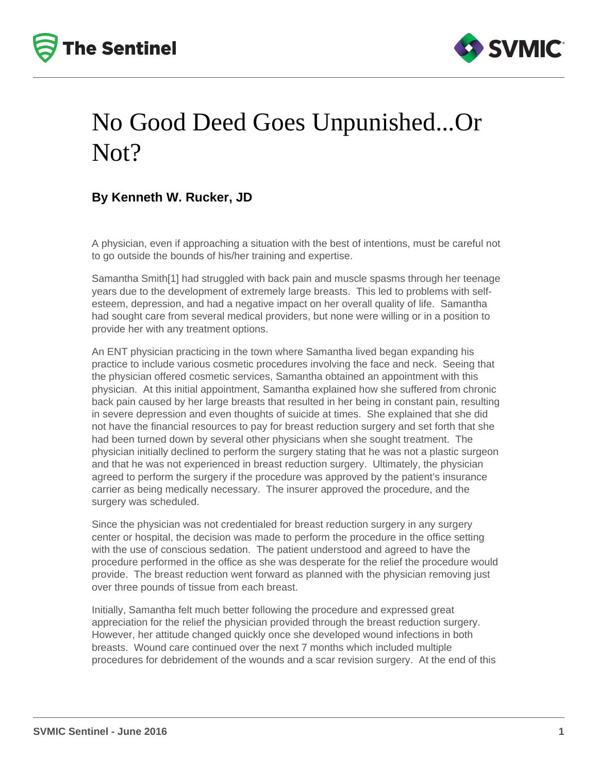



## No Good Deed Goes Unpunished...Or Not?

## **By Kenneth W. Rucker, JD**

A physician, even if approaching a situation with the best of intentions, must be careful not to go outside the bounds of his/her training and expertise.

Samantha Smith[1] had struggled with back pain and muscle spasms through her teenage years due to the development of extremely large breasts. This led to problems with selfesteem, depression, and had a negative impact on her overall quality of life. Samantha had sought care from several medical providers, but none were willing or in a position to provide her with any treatment options.

An ENT physician practicing in the town where Samantha lived began expanding his practice to include various cosmetic procedures involving the face and neck. Seeing that the physician offered cosmetic services, Samantha obtained an appointment with this physician. At this initial appointment, Samantha explained how she suffered from chronic back pain caused by her large breasts that resulted in her being in constant pain, resulting in severe depression and even thoughts of suicide at times. She explained that she did not have the financial resources to pay for breast reduction surgery and set forth that she had been turned down by several other physicians when she sought treatment. The physician initially declined to perform the surgery stating that he was not a plastic surgeon and that he was not experienced in breast reduction surgery. Ultimately, the physician agreed to perform the surgery if the procedure was approved by the patient's insurance carrier as being medically necessary. The insurer approved the procedure, and the surgery was scheduled.

Since the physician was not credentialed for breast reduction surgery in any surgery center or hospital, the decision was made to perform the procedure in the office setting with the use of conscious sedation. The patient understood and agreed to have the procedure performed in the office as she was desperate for the relief the procedure would provide. The breast reduction went forward as planned with the physician removing just over three pounds of tissue from each breast.

Initially, Samantha felt much better following the procedure and expressed great appreciation for the relief the physician provided through the breast reduction surgery. However, her attitude changed quickly once she developed wound infections in both breasts. Wound care continued over the next 7 months which included multiple procedures for debridement of the wounds and a scar revision surgery. At the end of this